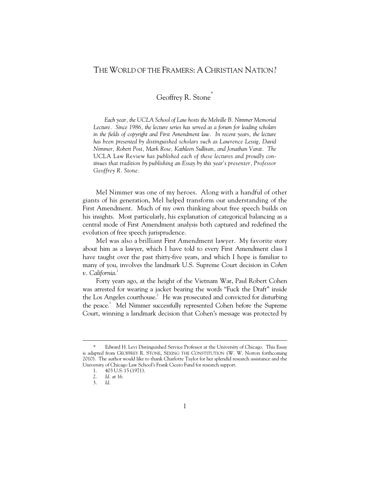## THE WORLD OF THE FRAMERS: A CHRISTIAN NATION?

Geoffrey R. Stone<sup>\*</sup>

*Each year, the UCLA School of Law hosts the Melville B. Nimmer Memorial Lecture. Since 1986, the lecture series has served as a forum for leading scholars*  in the fields of copyright and First Amendment law. In recent years, the lecture *has been presented by distinguished scholars such as Lawrence Lessig, David Nimmer, Robert Post, Mark Rose, Kathleen Sullivan, and Jonathan Varat. The*  UCLA Law Review *has published each of these lectures and proudly continues that tradition by publishing an Essay by this year's presenter, Professor Geoffrey R. Stone.* 

Mel Nimmer was one of my heroes. Along with a handful of other giants of his generation, Mel helped transform our understanding of the First Amendment. Much of my own thinking about free speech builds on his insights. Most particularly, his explanation of categorical balancing as a central mode of First Amendment analysis both captured and redefined the evolution of free speech jurisprudence.

Mel was also a brilliant First Amendment lawyer. My favorite story about him as a lawyer, which I have told to every First Amendment class I have taught over the past thirty-five years, and which I hope is familiar to many of you, involves the landmark U.S. Supreme Court decision in *Cohen v. California*. 1

Forty years ago, at the height of the Vietnam War, Paul Robert Cohen was arrested for wearing a jacket bearing the words "Fuck the Draft" inside the Los Angeles courthouse.<sup>2</sup> He was prosecuted and convicted for disturbing the peace.<sup>3</sup> Mel Nimmer successfully represented Cohen before the Supreme Court, winning a landmark decision that Cohen's message was protected by

 <sup>\*</sup> Edward H. Levi Distinguished Service Professor at the University of Chicago. This Essay is adapted from GEOFFREY R. STONE, SEXING THE CONSTITUTION (W. W. Norton forthcoming 2010). The author would like to thank Charlotte Taylor for her splendid research assistance and the University of Chicago Law School's Frank Cicero Fund for research support.

 <sup>1. 403</sup> U.S. 15 (1971).

 <sup>2.</sup> *Id.* at 16.

 <sup>3.</sup> *Id.*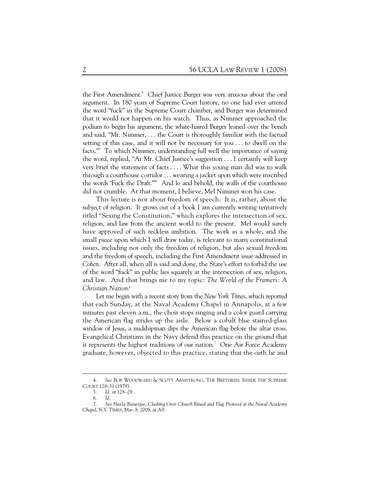the First Amendment.<sup>4</sup> Chief Justice Burger was very anxious about the oral argument. In 180 years of Supreme Court history, no one had ever uttered the word "fuck" in the Supreme Court chamber, and Burger was determined that it would not happen on his watch. Thus, as Nimmer approached the podium to begin his argument, the white-haired Burger leaned over the bench and said, "Mr. Nimmer, . . . the Court is thoroughly familiar with the factual setting of this case, and it will not be necessary for you . . . to dwell on the facts."<sup>5</sup> To which Nimmer, understanding full well the importance of saying the word, replied, "At Mr. Chief Justice's suggestion . . . I certainly will keep very brief the statement of facts . . . . What this young man did was to walk through a courthouse corridor . . . wearing a jacket upon which were inscribed the words 'Fuck the Draft.'"6 And lo and behold, the walls of the courthouse did not crumble. At that moment, I believe, Mel Nimmer won his case.

This lecture is not about freedom of speech. It is, rather, about the subject of religion. It grows out of a book I am currently writing tentatively titled "Sexing the Constitution," which explores the intersection of sex, religion, and law from the ancient world to the present. Mel would surely have approved of such reckless ambition. The work as a whole, and the small piece upon which I will draw today, is relevant to many constitutional issues, including not only the freedom of religion, but also sexual freedom and the freedom of speech, including the First Amendment issue addressed in *Cohen*. After all, when all is said and done, the State's effort to forbid the use of the word "fuck" in public lies squarely at the intersection of sex, religion, and law. And that brings me to my topic: *The World of the Framers: A Christian Nation?*

Let me begin with a recent story from the *New York Times*, which reported that each Sunday, at the Naval Academy Chapel in Annapolis, at a few minutes past eleven a.m., the choir stops singing and a color guard carrying the American flag strides up the aisle. Below a cobalt blue stained-glass window of Jesus, a midshipman dips the American flag before the altar cross. Evangelical Christians in the Navy defend this practice on the ground that it represents the highest traditions of our nation.<sup>7</sup> One Air Force Academy graduate, however, objected to this practice, stating that the oath he and

 $\overline{a}$ 

 <sup>4.</sup> *See* BOB WOODWARD & SCOTT ARMSTRONG, THE BRETHREN: INSIDE THE SUPREME COURT 128–31 (1979).

 <sup>5.</sup> *Id.* at 128–29.

 <sup>6.</sup> *Id*.

 <sup>7.</sup> *See* Neela Banerjee, *Clashing Over Church Ritual and Flag Protocol at the Naval Academy Chapel*, N.Y. TIMES, Mar. 8, 2008, at A9.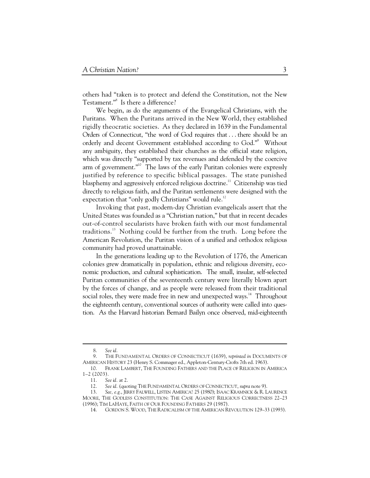others had "taken is to protect and defend the Constitution, not the New Testament."8 Is there a difference?

We begin, as do the arguments of the Evangelical Christians, with the Puritans. When the Puritans arrived in the New World, they established rigidly theocratic societies. As they declared in 1639 in the Fundamental Orders of Connecticut, "the word of God requires that . . . there should be an orderly and decent Government established according to God."<sup>9</sup> Without any ambiguity, they established their churches as the official state religion, which was directly "supported by tax revenues and defended by the coercive arm of government."<sup>10</sup> The laws of the early Puritan colonies were expressly justified by reference to specific biblical passages. The state punished blasphemy and aggressively enforced religious doctrine.<sup>11</sup> Citizenship was tied directly to religious faith, and the Puritan settlements were designed with the expectation that "only godly Christians" would rule.<sup>12</sup>

Invoking that past, modern-day Christian evangelicals assert that the United States was founded as a "Christian nation," but that in recent decades out-of-control secularists have broken faith with our most fundamental traditions.<sup>13</sup> Nothing could be further from the truth. Long before the American Revolution, the Puritan vision of a unified and orthodox religious community had proved unattainable.

In the generations leading up to the Revolution of 1776, the American colonies grew dramatically in population, ethnic and religious diversity, economic production, and cultural sophistication. The small, insular, self-selected Puritan communities of the seventeenth century were literally blown apart by the forces of change, and as people were released from their traditional social roles, they were made free in new and unexpected ways.<sup>14</sup> Throughout the eighteenth century, conventional sources of authority were called into question. As the Harvard historian Bernard Bailyn once observed, mid-eighteenth

 <sup>8.</sup> *See id.*

 <sup>9.</sup> THE FUNDAMENTAL ORDERS OF CONNECTICUT (1639), *reprinted in* DOCUMENTS OF AMERICAN HISTORY 23 (Henry S. Commager ed., Appleton-Century-Crofts 7th ed. 1963).

 <sup>10.</sup> FRANK LAMBERT, THE FOUNDING FATHERS AND THE PLACE OF RELIGION IN AMERICA 1–2 (2003).

 <sup>11.</sup> *See id.* at 2.

 <sup>12.</sup> *See id.* (quoting THE FUNDAMENTAL ORDERS OF CONNECTICUT, *supra* note 9).

 <sup>13.</sup> *See, e.g.*, JERRY FALWELL, LISTEN AMERICA! 25 (1980); ISAAC KRAMNICK & R. LAURENCE MOORE, THE GODLESS CONSTITUTION: THE CASE AGAINST RELIGIOUS CORRECTNESS 22–23 (1996); TIM LAHAYE, FAITH OF OUR FOUNDING FATHERS 29 (1987).

 <sup>14.</sup> GORDON S. WOOD, THE RADICALISM OF THE AMERICAN REVOLUTION 129–33 (1993).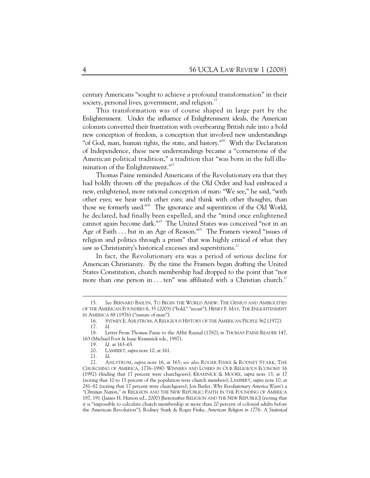century Americans "sought to achieve a profound transformation" in their society, personal lives, government, and religion.<sup>15</sup>

This transformation was of course shaped in large part by the Enlightenment. Under the influence of Enlightenment ideals, the American colonists converted their frustration with overbearing British rule into a bold new conception of freedom, a conception that involved new understandings "of God, man, human rights, the state, and history."<sup>16</sup> With the Declaration of Independence, these new understandings became a "cornerstone of the American political tradition," a tradition that "was born in the full illumination of the Enlightenment."<sup>17</sup>

Thomas Paine reminded Americans of the Revolutionary era that they had boldly thrown off the prejudices of the Old Order and had embraced a new, enlightened, more rational conception of man: "We see," he said, "with other eyes; we hear with other ears; and think with other thoughts, than those we formerly used."18 The ignorance and superstition of the Old World, he declared, had finally been expelled, and the "mind once enlightened cannot again become dark."19 The United States was conceived "not in an Age of Faith . . . but in an Age of Reason."<sup>20</sup> The Framers viewed "issues of religion and politics through a prism" that was highly critical of what they saw as Christianity's historical excesses and superstitions.<sup>21</sup>

In fact, the Revolutionary era was a period of serious decline for American Christianity. By the time the Framers began drafting the United States Constitution, church membership had dropped to the point that "not more than one person in . . . ten" was affiliated with a Christian church.<sup>22</sup>

 <sup>15.</sup> *See* BERNARD BAILYN, TO BEGIN THE WORLD ANEW: THE GENIUS AND AMBIGUITIES OF THE AMERICAN FOUNDERS 6, 35 (2003) ("bold," "recast"); HENRY F. MAY, THE ENLIGHTENMENT IN AMERICA 88 (1976) ("nature of man").

 <sup>16.</sup> SYDNEY E. AHLSTROM, A RELIGIOUS HISTORY OF THE AMERICAN PEOPLE 362 (1972).

 <sup>17.</sup> *Id.*

 <sup>18.</sup> Letter From Thomas Paine to the Abbé Raynal (1782), *in* THOMAS PAINE READER 147, 163 (Michael Foot & Isaac Kramnick eds., 1987).

 <sup>19.</sup> *Id.* at 163–65.

 <sup>20.</sup> LAMBERT, *supra* note 10, at 161.

 <sup>21.</sup> *Id*.

 <sup>22.</sup> AHLSTROM, *supra* note 16, at 365; *see also* ROGER FINKE & RODNEY STARK, THE CHURCHING OF AMERICA, 1776–1990: WINNERS AND LOSERS IN OUR RELIGIOUS ECONOMY 16 (1992) (finding that 17 percent were churchgoers); KRAMNICK & MOORE, *supra* note 13, at 17 (noting that 10 to 15 percent of the population were church members); LAMBERT, *supra* note 10, at 281–82 (noting that 17 percent were churchgoers); Jon Butler, *Why Revolutionary America Wasn't a "Christian Nation*,*" in* RELIGION AND THE NEW REPUBLIC: FAITH IN THE FOUNDING OF AMERICA 187, 191 (James H. Hutson ed., 2000) [hereinafter RELIGION AND THE NEW REPUBLIC] (noting that it is "impossible to calculate church membership at more than 20 percent of colonial adults before the American Revolution"); Rodney Stark & Roger Finke, *American Religion in 1776: A Statistical*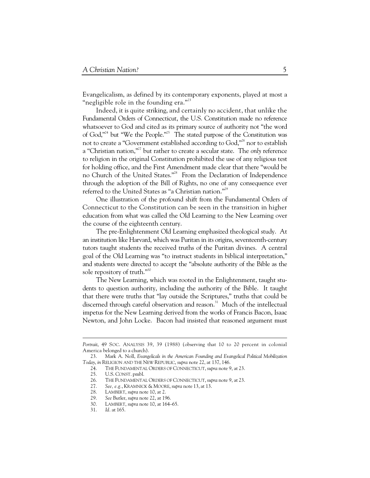Evangelicalism, as defined by its contemporary exponents, played at most a "negligible role in the founding era."<sup>23</sup>

Indeed, it is quite striking, and certainly no accident, that unlike the Fundamental Orders of Connecticut, the U.S. Constitution made no reference whatsoever to God and cited as its primary source of authority not "the word of God,"<sup>24</sup> but "We the People."<sup>25</sup> The stated purpose of the Constitution was not to create a "Government established according to God,"<sup>26</sup> nor to establish a "Christian nation,"27 but rather to create a secular state. The *only* reference to religion in the original Constitution prohibited the use of any religious test for holding office, and the First Amendment made clear that there "would be no Church of the United States."28 From the Declaration of Independence through the adoption of the Bill of Rights, no one of any consequence ever referred to the United States as "a Christian nation."<sup>29</sup>

One illustration of the profound shift from the Fundamental Orders of Connecticut to the Constitution can be seen in the transition in higher education from what was called the Old Learning to the New Learning over the course of the eighteenth century.

The pre-Enlightenment Old Learning emphasized theological study. At an institution like Harvard, which was Puritan in its origins, seventeenth-century tutors taught students the received truths of the Puritan divines. A central goal of the Old Learning was "to instruct students in biblical interpretation," and students were directed to accept the "absolute authority of the Bible as the sole repository of truth."<sup>30</sup>

The New Learning, which was rooted in the Enlightenment, taught students to question authority, including the authority of the Bible. It taught that there were truths that "lay outside the Scriptures," truths that could be discerned through careful observation and reason.<sup>31</sup> Much of the intellectual impetus for the New Learning derived from the works of Francis Bacon, Isaac Newton, and John Locke. Bacon had insisted that reasoned argument must

*Portrait*, 49 SOC. ANALYSIS 39, 39 (1988) (observing that 10 to 20 percent in colonial America belonged to a church).

 <sup>23.</sup> Mark A. Noll, *Evangelicals in the American Founding and Evangelical Political Mobilization Today*, *in* RELIGION AND THE NEW REPUBLIC, *supra* note 22, at 137, 146.

 <sup>24.</sup> THE FUNDAMENTAL ORDERS OF CONNECTICUT, *supra* note 9, at 23.

 <sup>25.</sup> U.S. CONST. pmbl.

 <sup>26.</sup> THE FUNDAMENTAL ORDERS OF CONNECTICUT, *supra* note 9, at 23.

 <sup>27.</sup> *See, e.g.*, KRAMNICK & MOORE, *supra* note 13, at 13.

 <sup>28.</sup> LAMBERT, *supra* note 10, at 2.

 <sup>29.</sup> *See* Butler, *supra* note 22, at 196.

 <sup>30.</sup> LAMBERT, *supra* note 10, at 164–65.

 <sup>31.</sup> *Id.* at 165.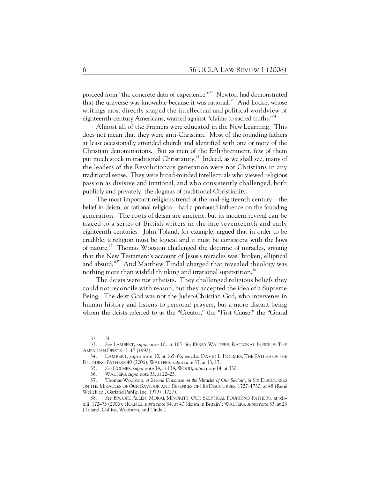proceed from "the concrete data of experience."<sup>32</sup> Newton had demonstrated that the universe was knowable because it was rational.<sup>33</sup> And Locke, whose writings most directly shaped the intellectual and political worldview of eighteenth-century Americans, warned against "claims to sacred truths."<sup>34</sup>

Almost all of the Framers were educated in the New Learning. This does not mean that they were anti-Christian. Most of the founding fathers at least occasionally attended church and identified with one or more of the Christian denominations. But as men of the Enlightenment, few of them put much stock in traditional Christianity.<sup>35</sup> Indeed, as we shall see, many of the leaders of the Revolutionary generation were not Christians in any traditional sense. They were broad-minded intellectuals who viewed religious passion as divisive and irrational, and who consistently challenged, both publicly and privately, the dogmas of traditional Christianity.

The most important religious trend of the mid-eighteenth century—the belief in deism, or rational religion—had a profound influence on the founding generation. The roots of deism are ancient, but its modern revival can be traced to a series of British writers in the late seventeenth and early eighteenth centuries. John Toland, for example, argued that in order to be credible, a religion must be logical and it must be consistent with the laws of nature.<sup>36</sup> Thomas Wooston challenged the doctrine of miracles, arguing that the New Testament's account of Jesus's miracles was "broken, elliptical and absurd."<sup>37</sup> And Matthew Tindal charged that revealed theology was nothing more than wishful thinking and irrational superstition.<sup>38</sup>

The deists were not atheists. They challenged religious beliefs they could not reconcile with reason, but they accepted the idea of a Supreme Being. The deist God was not the Judeo-Christian God, who intervenes in human history and listens to personal prayers, but a more distant being whom the deists referred to as the "Creator," the "First Cause," the "Grand

 $\overline{a}$ 

 <sup>32.</sup> *Id.*

 <sup>33.</sup> *See* LAMBERT, *supra* note 10, at 165–66; KERRY WALTERS, RATIONAL INFIDELS: THE AMERICAN DEISTS 13–17 (1992).

 <sup>34.</sup> LAMBERT, *supra* note 10, at 165–66; *see also* DAVID L. HOLMES, THE FAITHS OF THE FOUNDING FATHERS 40 (2006); WALTERS, *supra* note 33, at 13, 17.

 <sup>35.</sup> *See* HOLMES, *supra* note 34, at 134; WOOD, *supra* note 14, at 330.

 <sup>36.</sup> WALTERS, *supra* note 33, at 22–23.

 <sup>37.</sup> Thomas Woolston, *A Second Discourse on the Miracles of Our Saviour*, *in* SIX DISCOURSES ON THE MIRACLES OF OUR SAVIOUR AND DEFENCES OF HIS DISCOURSES, 1727–1730, at 48 (René Wellek ed., Garland Publ'g, Inc. 1979) (1727).

 <sup>38.</sup> *See* BROOKE ALLEN, MORAL MINORITY: OUR SKEPTICAL FOUNDING FATHERS, at xii– xiii, 172–73 (2006); HOLMES, *supra* note 34, at 40 (deism in Britain); WALTERS, *supra* note 33, at 23 (Toland, Collins, Woolston, and Tindal).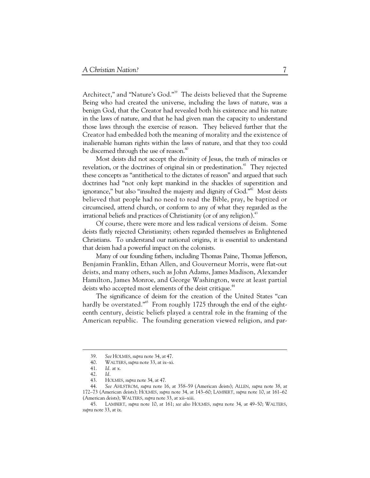Architect," and "Nature's God."<sup>39</sup> The deists believed that the Supreme Being who had created the universe, including the laws of nature, was a benign God, that the Creator had revealed both his existence and his nature in the laws of nature, and that he had given man the capacity to understand those laws through the exercise of reason. They believed further that the Creator had embedded both the meaning of morality and the existence of inalienable human rights within the laws of nature, and that they too could be discerned through the use of reason.<sup>40</sup>

Most deists did not accept the divinity of Jesus, the truth of miracles or revelation, or the doctrines of original sin or predestination.<sup>41</sup> They rejected these concepts as "antithetical to the dictates of reason" and argued that such doctrines had "not only kept mankind in the shackles of superstition and ignorance," but also "insulted the majesty and dignity of God."<sup>42</sup> Most deists believed that people had no need to read the Bible, pray, be baptized or circumcised, attend church, or conform to any of what they regarded as the irrational beliefs and practices of Christianity (or of any religion).<sup>43</sup>

Of course, there were more and less radical versions of deism. Some deists flatly rejected Christianity; others regarded themselves as Enlightened Christians. To understand our national origins, it is essential to understand that deism had a powerful impact on the colonists.

Many of our founding fathers, including Thomas Paine, Thomas Jefferson, Benjamin Franklin, Ethan Allen, and Gouverneur Morris, were flat-out deists, and many others, such as John Adams, James Madison, Alexander Hamilton, James Monroe, and George Washington, were at least partial deists who accepted most elements of the deist critique.<sup>44</sup>

The significance of deism for the creation of the United States "can hardly be overstated."<sup>45</sup> From roughly 1725 through the end of the eighteenth century, deistic beliefs played a central role in the framing of the American republic. The founding generation viewed religion, and par-

 $\overline{a}$ 

 <sup>39.</sup> *See* HOLMES, *supra* note 34, at 47.

 <sup>40.</sup> WALTERS, *supra* note 33, at ix–xi.

 <sup>41.</sup> *Id.* at x.

 <sup>42.</sup> *Id.*

 <sup>43.</sup> HOLMES, *supra* note 34, at 47.

 <sup>44.</sup> *See* AHLSTROM, *supra* note 16, at 358–59 (American deists); ALLEN, *supra* note 38, at 172–73 (American deists); HOLMES, *supra* note 34, at 143–60; LAMBERT, *supra* note 10, at 161–62 (American deists); WALTERS, *supra* note 33, at xii–xiii.

 <sup>45.</sup> LAMBERT, *supra* note 10, at 161; *see also* HOLMES, *supra* note 34, at 49–50; WALTERS, *supra* note 33, at ix.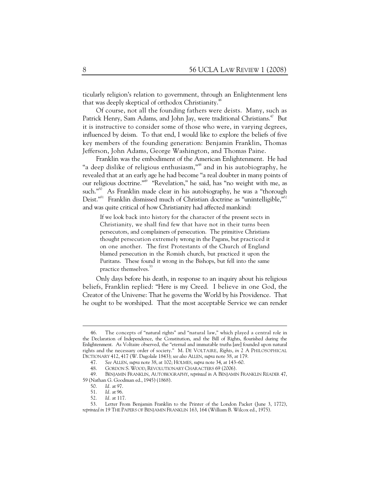ticularly religion's relation to government, through an Enlightenment lens that was deeply skeptical of orthodox Christianity.<sup>46</sup>

Of course, not all the founding fathers were deists. Many, such as Patrick Henry, Sam Adams, and John Jay, were traditional Christians.<sup>47</sup> But it is instructive to consider some of those who were, in varying degrees, influenced by deism. To that end, I would like to explore the beliefs of five key members of the founding generation: Benjamin Franklin, Thomas Jefferson, John Adams, George Washington, and Thomas Paine.

Franklin was the embodiment of the American Enlightenment. He had "a deep dislike of religious enthusiasm,"<sup>48</sup> and in his autobiography, he revealed that at an early age he had become "a real doubter in many points of our religious doctrine."49 "Revelation," he said, has "no weight with me, as such."<sup>50</sup> As Franklin made clear in his autobiography, he was a "thorough Deist."<sup>51</sup> Franklin dismissed much of Christian doctrine as "unintelligible,"<sup>52</sup> and was quite critical of how Christianity had affected mankind:

If we look back into history for the character of the present sects in Christianity, we shall find few that have not in their turns been persecutors, and complainers of persecution. The primitive Christians thought persecution extremely wrong in the Pagans, but practiced it on one another. The first Protestants of the Church of England blamed persecution in the Romish church, but practiced it upon the Puritans. These found it wrong in the Bishops, but fell into the same practice themselves.<sup>53</sup>

Only days before his death, in response to an inquiry about his religious beliefs, Franklin replied: "Here is my Creed. I believe in one God, the Creator of the Universe: That he governs the World by his Providence. That he ought to be worshiped. That the most acceptable Service we can render

 <sup>46.</sup> The concepts of "natural rights" and "natural law," which played a central role in the Declaration of Independence, the Constitution, and the Bill of Rights, flourished during the Enlightenment. As Voltaire observed, the "eternal and immutable truths [are] founded upon natural rights and the necessary order of society." M. DE VOLTAIRE, *Rights*, *in* 2 A PHILOSOPHICAL DICTIONARY 412, 417 (W. Dugolale 1843); *see also* ALLEN, *supra* note 38, at 179.

 <sup>47.</sup> *See* ALLEN, *supra* note 38, at 102; HOLMES, *supra* note 34, at 143–60.

 <sup>48.</sup> GORDON S. WOOD, REVOLUTIONARY CHARACTERS 69 (2006).

 <sup>49.</sup> BENJAMIN FRANKLIN, AUTOBIOGRAPHY, *reprinted in* A BENJAMIN FRANKLIN READER 47, 59 (Nathan G. Goodman ed., 1945)(1868).

 <sup>50.</sup> *Id.* at 97.

 <sup>51.</sup> *Id.* at 96.

 <sup>52.</sup> *Id.* at 117.

 <sup>53.</sup> Letter From Benjamin Franklin to the Printer of the London Packet (June 3, 1772), *reprinted in* 19 THE PAPERS OF BENJAMIN FRANKLIN 163, 164 (William B. Wilcox ed., 1975).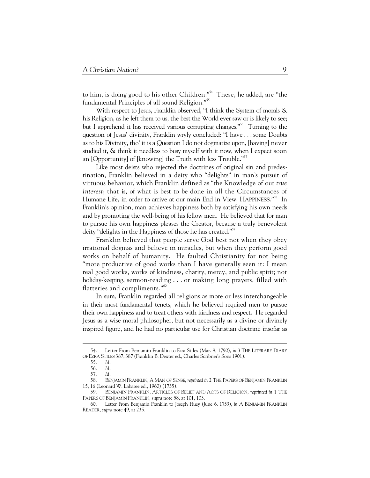to him, is doing good to his other Children."54 These, he added, are "the fundamental Principles of all sound Religion."<sup>55</sup>

With respect to Jesus, Franklin observed, "I think the System of morals & his Religion, as he left them to us, the best the World ever saw or is likely to see; but I apprehend it has received various corrupting changes."<sup>56</sup> Turning to the question of Jesus' divinity, Franklin wryly concluded: "I have . . . some Doubts as to his Divinity, tho' it is a Question I do not dogmatize upon, [having] never studied it, & think it needless to busy myself with it now, when I expect soon an [Opportunity] of [knowing] the Truth with less Trouble."<sup>57</sup>

Like most deists who rejected the doctrines of original sin and predestination, Franklin believed in a deity who "delights" in man's pursuit of virtuous behavior, which Franklin defined as "the Knowledge of our *true Interest*; that is, of what is best to be done in all the Circumstances of Humane Life, in order to arrive at our main End in View, HAPPINESS."<sup>58</sup> In Franklin's opinion, man achieves happiness both by satisfying his own needs and by promoting the well-being of his fellow men. He believed that for man to pursue his own happiness pleases the Creator, because a truly benevolent deity "delights in the Happiness of those he has created."<sup>59</sup>

Franklin believed that people serve God best not when they obey irrational dogmas and believe in miracles, but when they perform good works on behalf of humanity. He faulted Christianity for not being "more productive of good works than I have generally seen it: I mean real good works, works of kindness, charity, mercy, and public spirit; not holiday-keeping, sermon-reading . . . or making long prayers, filled with flatteries and compliments."<sup>60</sup>

In sum, Franklin regarded all religions as more or less interchangeable in their most fundamental tenets, which he believed required men to pursue their own happiness and to treat others with kindness and respect. He regarded Jesus as a wise moral philosopher, but not necessarily as a divine or divinely inspired figure, and he had no particular use for Christian doctrine insofar as

 <sup>54.</sup> Letter From Benjamin Franklin to Ezra Stiles (Mar. 9, 1790), *in* 3 THE LITERARY DIARY OF EZRA STILES 387, 387 (Franklin B. Dexter ed., Charles Scribner's Sons 1901).

 <sup>55.</sup> *Id.*

 <sup>56.</sup> *Id.*

 <sup>57.</sup> *Id.*

 <sup>58.</sup> BENJAMIN FRANKLIN, A MAN OF SENSE, *reprinted in* 2 THE PAPERS OF BENJAMIN FRANKLIN 15, 16 (Leonard W. Labaree ed., 1960) (1735).

 <sup>59.</sup> BENJAMIN FRANKLIN, ARTICLES OF BELIEF AND ACTS OF RELIGION, *reprinted in* 1 THE PAPERS OF BENJAMIN FRANKLIN, *supra* note 58, at 101, 103.

 <sup>60.</sup> Letter From Benjamin Franklin to Joseph Huey (June 6, 1753), *in* A BENJAMIN FRANKLIN READER, *supra* note 49, at 235.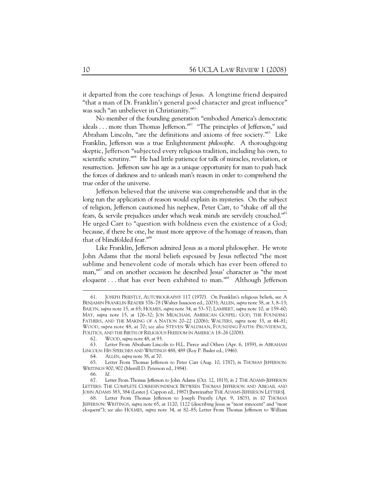it departed from the core teachings of Jesus. A longtime friend despaired "that a man of Dr. Franklin's general good character and great influence" was such "an unbeliever in Christianity."<sup>61</sup>

No member of the founding generation "embodied America's democratic ideals . . . more than Thomas Jefferson."<sup>62</sup> "The principles of Jefferson," said Abraham Lincoln, "are the definitions and axioms of free society."<sup>63</sup> Like Franklin, Jefferson was a true Enlightenment *philosophe*. A thoroughgoing skeptic, Jefferson "subjected every religious tradition, including his own, to scientific scrutiny."<sup>64</sup> He had little patience for talk of miracles, revelation, or resurrection. Jefferson saw his age as a unique opportunity for man to push back the forces of darkness and to unleash man's reason in order to comprehend the true order of the universe.

Jefferson believed that the universe was comprehensible and that in the long run the application of reason would explain its mysteries. On the subject of religion, Jefferson cautioned his nephew, Peter Carr, to "shake off all the fears, & servile prejudices under which weak minds are servilely crouched."65 He urged Carr to "question with boldness even the existence of a God; because, if there be one, he must more approve of the homage of reason, than that of blindfolded fear."<sup>66</sup>

Like Franklin, Jefferson admired Jesus as a moral philosopher. He wrote John Adams that the moral beliefs espoused by Jesus reflected "the most sublime and benevolent code of morals which has ever been offered to man,"<sup>67</sup> and on another occasion he described Jesus' character as "the most eloquent . . . that has ever been exhibited to man."<sup>68</sup> Although Jefferson

 <sup>61.</sup> JOSEPH PRIESTLY, AUTOBIOGRAPHY 117 (1970). On Franklin's religious beliefs, see A BENJAMIN FRANKLIN READER 376–78 (Walter Isaacson ed., 2003); ALLEN, *supra* note 38, at 3, 8–13; BAILYN, *supra* note 15, at 65; HOLMES, *supra* note 34, at 53–57; LAMBERT, *supra* note 10, at 159–60; MAY, *supra* note 15, at 126–32; JON MEACHAM, AMERICAN GOSPEL: GOD, THE FOUNDING FATHERS, AND THE MAKING OF A NATION 20–22 (2006); WALTERS, *supra* note 33, at 44–81; WOOD, *supra* note 48, at 70; *see also* STEVEN WALDMAN, FOUNDING FAITH: PROVIDENCE, POLITICS, AND THE BIRTH OF RELIGIOUS FREEDOM IN AMERICA 18–26 (2008).

 <sup>62.</sup> WOOD, *supra* note 48, at 93.

 <sup>63.</sup> Letter From Abraham Lincoln to H.L. Pierce and Others (Apr. 6, 1859), *in* ABRAHAM LINCOLN: HIS SPEECHES AND WRITINGS 488, 489 (Roy P. Basler ed., 1946).

 <sup>64.</sup> ALLEN, *supra* note 38, at 70.

 <sup>65.</sup> Letter From Thomas Jefferson to Peter Carr (Aug. 10, 1787), *in* THOMAS JEFFERSON: WRITINGS 900, 902 (Merrill D. Peterson ed., 1984).

 <sup>66.</sup> *Id.*

 <sup>67.</sup> Letter From Thomas Jefferson to John Adams (Oct. 12, 1813), *in* 2 THE ADAMS-JEFFERSON LETTERS: THE COMPLETE CORRESPONDENCE BETWEEN THOMAS JEFFERSON AND ABIGAIL AND JOHN ADAMS 383, 384 (Lester J. Cappon ed., 1987) [hereinafter THE ADAMS-JEFFERSON LETTERS].

Letter From Thomas Jefferson to Joseph Priestly (Apr. 9, 1803), *in* 10 THOMAS JEFFERSON: WRITINGS, *supra* note 65, at 1120, 1122 (describing Jesus as "most innocent" and "most eloquent"); *see also* HOLMES, *supra* note 34, at 82–85; Letter From Thomas Jefferson to William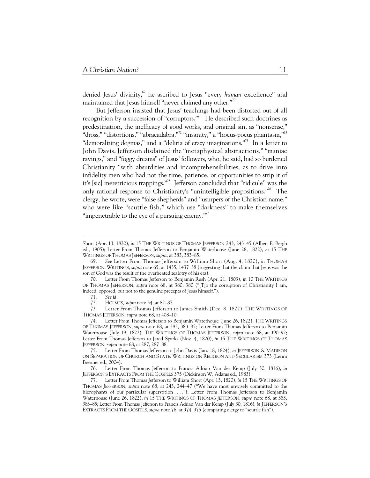denied Jesus' divinity,<sup>69</sup> he ascribed to Jesus "every *human* excellence" and maintained that Jesus himself "never claimed any other."<sup>70</sup>

But Jefferson insisted that Jesus' teachings had been distorted out of all recognition by a succession of "corruptors."<sup>71</sup> He described such doctrines as predestination, the inefficacy of good works, and original sin, as "nonsense," "dross," "distortions," "abracadabra,"<sup>72</sup> "insanity," a "hocus-pocus phantasm,"<sup>73</sup> "demoralizing dogmas," and a "deliria of crazy imaginations."<sup>74</sup> In a letter to John Davis, Jefferson disdained the "metaphysical abstractions," "maniac ravings," and "foggy dreams" of Jesus' followers, who, he said, had so burdened Christianity "with absurdities and incomprehensibilities, as to drive into infidelity men who had not the time, patience, or opportunities to strip it of it's [sic] meretricious trappings."75 Jefferson concluded that "ridicule" was the only rational response to Christianity's "unintelligible propositions."<sup>76</sup> The clergy, he wrote, were "false shepherds" and "usurpers of the Christian name," who were like "scuttle fish," which use "darkness" to make themselves "impenetrable to the eye of a pursuing enemy."<sup>77</sup>

72. HOLMES, *supra* note 34, at 82–87.

 73. Letter From Thomas Jefferson to James Smith (Dec. 8, 1822), THE WRITINGS OF THOMAS JEFFERSON, *supra* note 68, at 408–10.

Short (Apr. 13, 1820), *in* 15 THE WRITINGS OF THOMAS JEFFERSON 243, 243–45 (Albert E. Bergh ed., 1905); Letter From Thomas Jefferson to Benjamin Waterhouse (June 28, 1822), *in* 15 THE WRITINGS OF THOMAS JEFFERSON, *supra*, at 383, 383–85.

 <sup>69.</sup> *See* Letter From Thomas Jefferson to William Short (Aug. 4, 1820), *in* THOMAS JEFFERSON: WRITINGS, *supra* note 65, at 1435, 1437–38 (suggesting that the claim that Jesus was the son of God was the result of the overheated zealotry of his era).

 <sup>70.</sup> Letter From Thomas Jefferson to Benjamin Rush (Apr. 21, 1803), *in* 10 THE WRITINGS OF THOMAS JEFFERSON, *supra* note 68, at 380, 380 ("[T]o the corruption of Christianity I am, indeed, opposed, but not to the genuine precepts of Jesus himself.").

 <sup>71.</sup> *See id.*

 <sup>74.</sup> Letter From Thomas Jefferson to Benjamin Waterhouse (June 26, 1822), THE WRITINGS OF THOMAS JEFFERSON, *supra* note 68, at 383, 383–85; Letter From Thomas Jefferson to Benjamin Waterhouse (July 19, 1822), THE WRITINGS OF THOMAS JEFFERSON, *supra* note 68, at 390–92; Letter From Thomas Jefferson to Jared Sparks (Nov. 4, 1820), *in* 15 THE WRITINGS OF THOMAS JEFFERSON, *supra* note 68, at 287, 287–88.

 <sup>75.</sup> Letter From Thomas Jefferson to John Davis (Jan. 18, 1824), *in* JEFFERSON & MADISON ON SEPARATION OF CHURCH AND STATE: WRITINGS ON RELIGION AND SECULARISM 373 (Lenni Brenner ed., 2004).

 <sup>76.</sup> Letter From Thomas Jefferson to Francis Adrian Van der Kemp (July 30, 1816), *in*  JEFFERSON'S EXTRACTS FROM THE GOSPELS 375 (Dickinson W. Adams ed., 1983).

 <sup>77.</sup> Letter From Thomas Jefferson to William Short (Apr. 13, 1820), *in* 15 THE WRITINGS OF THOMAS JEFFERSON, *supra* note 68, at 243, 244–47 ("We have most unwisely committed to the hierophants of our particular superstition . . . ."); Letter From Thomas Jefferson to Benjamin Waterhouse (June 26, 1822), *in* 15 THE WRITINGS OF THOMAS JEFFERSON, *supra* note 68, at 383, 383–85; Letter From Thomas Jefferson to Francis Adrian Van der Kemp (July 30, 1816), *in* JEFFERSON'S EXTRACTS FROM THE GOSPELS, *supra* note 76, at 374, 375 (comparing clergy to "scuttle fish").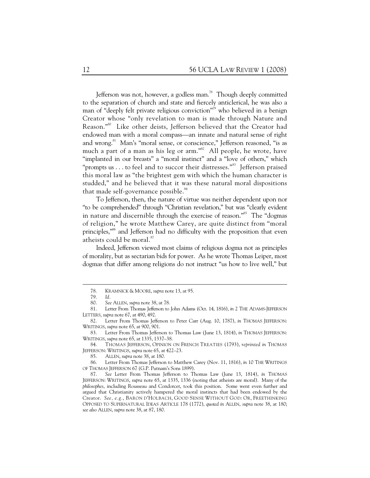Jefferson was not, however, a godless man.<sup>78</sup> Though deeply committed to the separation of church and state and fiercely anticlerical, he was also a man of "deeply felt private religious conviction"<sup>79</sup> who believed in a benign Creator whose "only revelation to man is made through Nature and Reason."80 Like other deists, Jefferson believed that the Creator had endowed man with a moral compass—an innate and natural sense of right and wrong.<sup>81</sup> Man's "moral sense, or conscience," Jefferson reasoned, "is as much a part of a man as his leg or  $arm.^{382}$  All people, he wrote, have "implanted in our breasts" a "moral instinct" and a "love of others," which "prompts us  $\dots$  to feel and to succor their distresses."<sup>83</sup> Jefferson praised this moral law as "the brightest gem with which the human character is studded," and he believed that it was these natural moral dispositions that made self-governance possible. $84$ 

To Jefferson, then, the nature of virtue was neither dependent upon nor "to be comprehended" through "Christian revelation," but was "clearly evident in nature and discernible through the exercise of reason."<sup>85</sup> The "dogmas" of religion," he wrote Matthew Carey, are quite distinct from "moral principles,"<sup>86</sup> and Jefferson had no difficulty with the proposition that even atheists could be moral.<sup>87</sup>

Indeed, Jefferson viewed most claims of religious dogma not as principles of morality, but as sectarian bids for power. As he wrote Thomas Leiper, most dogmas that differ among religions do not instruct "us how to live well," but

 <sup>78.</sup> KRAMNICK & MOORE, *supra* note 13, at 95.

 <sup>79.</sup> *Id.*

 <sup>80.</sup> *See* ALLEN, *supra* note 38, at 78.

 <sup>81.</sup> Letter From Thomas Jefferson to John Adams (Oct. 14, 1816), *in* 2 THE ADAMS-JEFFERSON LETTERS, *supra* note 67, at 490, 492.

 <sup>82.</sup> Letter From Thomas Jefferson to Peter Carr (Aug. 10, 1787), *in* THOMAS JEFFERSON: WRITINGS, *supra* note 65, at 900, 901.

 <sup>83.</sup> Letter From Thomas Jefferson to Thomas Law (June 13, 1814), *in* THOMAS JEFFERSON: WRITINGS, *supra* note 65, at 1335, 1337–38.

 <sup>84.</sup> THOMAS JEFFERSON, OPINION ON FRENCH TREATIES (1793), *reprinted in* THOMAS JEFFERSON: WRITINGS, *supra* note 65, at 422–23.

 <sup>85.</sup> ALLEN, *supra* note 38, at 180.

 <sup>86.</sup> Letter From Thomas Jefferson to Matthew Carey (Nov. 11, 1816), *in* 10 THE WRITINGS OF THOMAS JEFFERSON 67 (G.P. Putnam's Sons 1899).

 <sup>87.</sup> *See* Letter From Thomas Jefferson to Thomas Law (June 13, 1814), *in* THOMAS JEFFERSON: WRITINGS, *supra* note 65, at 1335, 1336 (noting that atheists are moral). Many of the *philosophes*, including Rousseau and Condorcet, took this position. Some went even further and argued that Christianity actively hampered the moral instincts that had been endowed by the Creator. *See, e.g.*, BARON D'HOLBACH, GOOD SENSE WITHOUT GOD: OR, FREETHINKING OPPOSED TO SUPERNATURAL IDEAS ARTICLE 178 (1772), *quoted in* ALLEN, *supra* note 38, at 180; *see also* ALLEN, *supra* note 38, at 87, 180.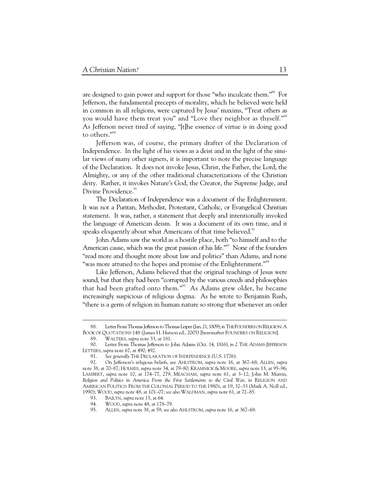are designed to gain power and support for those "who inculcate them."<sup>88</sup> For Jefferson, the fundamental precepts of morality, which he believed were held in common in all religions, were captured by Jesus' maxims, "Treat others as you would have them treat you" and "Love they neighbor as thyself."<sup>89</sup> As Jefferson never tired of saying, "[t]he essence of virtue is in doing good to others."90

Jefferson was, of course, the primary drafter of the Declaration of Independence. In the light of his views as a deist and in the light of the similar views of many other signers, it is important to note the precise language of the Declaration. It does not invoke Jesus, Christ, the Father, the Lord, the Almighty, or any of the other traditional characterizations of the Christian deity. Rather, it invokes Nature's God, the Creator, the Supreme Judge, and Divine Providence.<sup>91</sup>

The Declaration of Independence was a document of the Enlightenment. It was not a Puritan, Methodist, Protestant, Catholic, or Evangelical Christian statement. It was, rather, a statement that deeply and intentionally invoked the language of American deism. It was a document of its own time, and it speaks eloquently about what Americans of that time believed.<sup>92</sup>

John Adams saw the world as a hostile place, both "to himself and to the American cause, which was the great passion of his life."<sup>93</sup> None of the founders "read more and thought more about law and politics" than Adams, and none "was more attuned to the hopes and promise of the Enlightenment."<sup>94</sup>

Like Jefferson, Adams believed that the original teachings of Jesus were sound, but that they had been "corrupted by the various creeds and philosophies that had been grafted onto them."<sup>95</sup> As Adams grew older, he became increasingly suspicious of religious dogma. As he wrote to Benjamin Rush, "there is a germ of religion in human nature so strong that whenever an order

 <sup>88.</sup> Letter From Thomas Jefferson to Thomas Leiper (Jan. 21, 1809), *in* THE FOUNDERS ON RELIGION:A BOOK OF QUOTATIONS 148 (James H. Hutson ed., 2005) [hereinafter FOUNDERS ON RELIGION].

 <sup>89.</sup> WALTERS, *supra* note 33, at 181.

Letter From Thomas Jefferson to John Adams (Oct. 14, 1816), *in* 2 THE ADAMS-JEFFERSON LETTERS, *supra* note 67, at 490, 492.

 <sup>91.</sup> *See generally* THE DECLARATION OF INDEPENDENCE (U.S. 1776).

 <sup>92.</sup> On Jefferson's religious beliefs, see AHLSTROM, *supra* note 16, at 367–68; ALLEN, *supra*  note 38, at 70–87; HOLMES, *supra* note 34, at 79–80; KRAMNICK & MOORE, *supra* note 13, at 95–96; LAMBERT, *supra* note 10, at 174–77, 279; MEACHAM, *supra* note 61, at 3–12; John M. Murrin, *Religion and Politics in America From the First Settlements to the Civil War*, *in* RELIGION AND AMERICAN POLITICS: FROM THE COLONIAL PERIOD TO THE 1980S, at 19, 32–33 (Mark A. Noll ed., 1990); WOOD, *supra* note 48, at 101–07; *see also* WALDMAN, *supra* note 61, at 72–85.

 <sup>93.</sup> BAILYN, *supra* note 15, at 64.

 <sup>94.</sup> WOOD, *supra* note 48, at 178–79.

 <sup>95.</sup> ALLEN, *supra* note 38, at 59; *see also* AHLSTROM, *supra* note 16, at 367–68.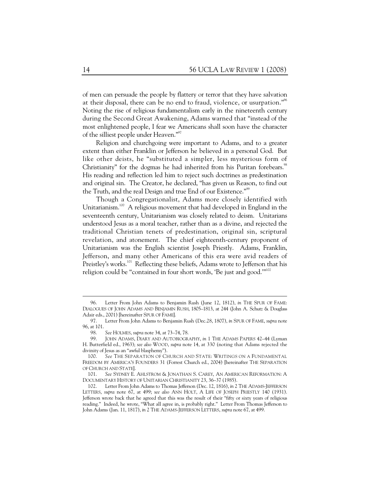of men can persuade the people by flattery or terror that they have salvation at their disposal, there can be no end to fraud, violence, or usurpation."<sup>96</sup> Noting the rise of religious fundamentalism early in the nineteenth century during the Second Great Awakening, Adams warned that "instead of the most enlightened people, I fear we Americans shall soon have the character of the silliest people under Heaven."<sup>97</sup>

Religion and churchgoing were important to Adams, and to a greater extent than either Franklin or Jefferson he believed in a personal God. But like other deists, he "substituted a simpler, less mysterious form of Christianity" for the dogmas he had inherited from his Puritan forebears.<sup>98</sup> His reading and reflection led him to reject such doctrines as predestination and original sin. The Creator, he declared, "has given us Reason, to find out the Truth, and the real Design and true End of our Existence."<sup>99</sup>

Though a Congregationalist, Adams more closely identified with Unitarianism.<sup>100</sup> A religious movement that had developed in England in the seventeenth century, Unitarianism was closely related to deism. Unitarians understood Jesus as a moral teacher, rather than as a divine, and rejected the traditional Christian tenets of predestination, original sin, scriptural revelation, and atonement. The chief eighteenth-century proponent of Unitarianism was the English scientist Joseph Priestly. Adams, Franklin, Jefferson, and many other Americans of this era were avid readers of Preistley's works.<sup>101</sup> Reflecting these beliefs, Adams wrote to Jefferson that his religion could be "contained in four short words, 'Be just and good."<sup>102</sup>

 <sup>96.</sup> Letter From John Adams to Benjamin Rush (June 12, 1812), *in* THE SPUR OF FAME: DIALOGUES OF JOHN ADAMS AND BENJAMIN RUSH, 1805–1813, at 244 (John A. Schutz & Douglass Adair eds., 2001) [hereinafter SPUR OF FAME].

 <sup>97.</sup> Letter From John Adams to Benjamin Rush (Dec.28, 1807), *in* SPUR OF FAME, *supra* note 96, at 101.

 <sup>98.</sup> *See* HOLMES, *supra* note 34, at 73–74, 78.

JOHN ADAMS, DIARY AND AUTOBIOGRAPHY, *in* 1 THE ADAMS PAPERS 42-44 (Lyman H. Butterfield ed., 1963); *see also* WOOD, *supra* note 14, at 330 (noting that Adams rejected the divinity of Jesus as an "awful blasphemy").

 <sup>100.</sup> *See* THE SEPARATION OF CHURCH AND STATE: WRITINGS ON A FUNDAMENTAL FREEDOM BY AMERICA'S FOUNDERS 31 (Forrest Church ed., 2004) [hereinafter THE SEPARATION OF CHURCH AND STATE].

 <sup>101.</sup> *See* SYDNEY E. AHLSTROM & JONATHAN S. CAREY, AN AMERICAN REFORMATION: A DOCUMENTARY HISTORY OF UNITARIAN CHRISTIANITY 23, 36–37 (1985).

 <sup>102.</sup> Letter From John Adams to Thomas Jefferson (Dec. 12, 1816), *in* 2 THE ADAMS-JEFFERSON LETTERS, *supra* note 67, at 499; *see also* ANN HOLT, A LIFE OF JOSEPH PRIESTLY 140 (1931). Jefferson wrote back that he agreed that this was the result of their "fifty or sixty years of religious reading." Indeed, he wrote, "What all agree in, is probably right." Letter From Thomas Jefferson to John Adams (Jan. 11, 1817), *in* 2 THE ADAMS-JEFFERSON LETTERS, *supra* note 67, at 499.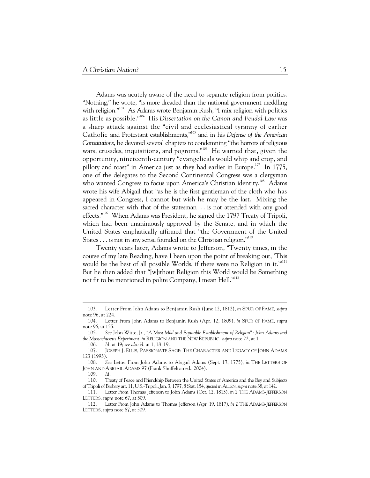Adams was acutely aware of the need to separate religion from politics. "Nothing," he wrote, "is more dreaded than the national government meddling with religion."<sup>103</sup> As Adams wrote Benjamin Rush, "I mix religion with politics as little as possible."104 His *Dissertation on the Canon and Feudal Law* was a sharp attack against the "civil and ecclesiastical tyranny of earlier Catholic and Protestant establishments,"105 and in his *Defense of the American Constitutions*, he devoted several chapters to condemning "the horrors of religious wars, crusades, inquisitions, and pogroms."<sup>106</sup> He warned that, given the opportunity, nineteenth-century "evangelicals would whip and crop, and pillory and roast" in America just as they had earlier in Europe.<sup>107</sup> In 1775, one of the delegates to the Second Continental Congress was a clergyman who wanted Congress to focus upon America's Christian identity.<sup>108</sup> Adams wrote his wife Abigail that "as he is the first gentleman of the cloth who has appeared in Congress, I cannot but wish he may be the last. Mixing the sacred character with that of the statesman . . . is not attended with any good effects."<sup>109</sup> When Adams was President, he signed the 1797 Treaty of Tripoli, which had been unanimously approved by the Senate, and in which the United States emphatically affirmed that "the Government of the United States . . . is not in any sense founded on the Christian religion."<sup>110</sup>

Twenty years later, Adams wrote to Jefferson, "Twenty times, in the course of my late Reading, have I been upon the point of breaking out, 'This would be the best of all possible Worlds, if there were no Religion in it.""<sup>111</sup> But he then added that "[w]ithout Religion this World would be Something not fit to be mentioned in polite Company, I mean Hell."<sup>112</sup>

 <sup>103.</sup> Letter From John Adams to Benjamin Rush (June 12, 1812), *in* SPUR OF FAME, *supra*  note 96, at 224.

 <sup>104.</sup> Letter From John Adams to Benjamin Rush (Apr. 12, 1809), *in* SPUR OF FAME, *supra*  note 96, at 155.

 <sup>105.</sup> *See* John Witte, Jr., *"A Most Mild and Equitable Establishment of Religion": John Adams and the Massachusetts Experiment*, *in* RELIGION AND THE NEW REPUBLIC, *supra* note 22, at 1.

 <sup>106.</sup> *Id.* at 19; *see also id.* at 1, 18–19.

 <sup>107.</sup> JOSEPH J. ELLIS, PASSIONATE SAGE: THE CHARACTER AND LEGACY OF JOHN ADAMS 123 (1993).

 <sup>108.</sup> *See* Letter From John Adams to Abigail Adams (Sept. 17, 1775), *in* THE LETTERS OF JOHN AND ABIGAIL ADAMS 97 (Frank Shuffelton ed., 2004).

 <sup>109.</sup> *Id.*

 <sup>110.</sup> Treaty of Peace and Friendship Between the United States of America and the Bey and Subjects of Tripoli of Barbary art. 11, U.S.-Tripoli, Jan. 3, 1797, 8 Stat. 154, *quoted in* ALLEN, *supra* note 38, at 142.

 <sup>111.</sup> Letter From Thomas Jefferson to John Adams (Oct. 12, 1813), *in* 2 THE ADAMS-JEFFERSON LETTERS, *supra* note 67, at 509.

 <sup>112.</sup> Letter From John Adams to Thomas Jefferson (Apr. 19, 1817), *in* 2 THE ADAMS-JEFFERSON LETTERS, *supra* note 67, at 509.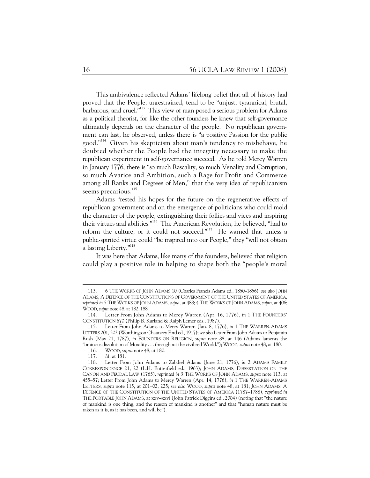This ambivalence reflected Adams' lifelong belief that all of history had proved that the People, unrestrained, tend to be "unjust, tyrannical, brutal, barbarous, and cruel."113 This view of man posed a serious problem for Adams as a political theorist, for like the other founders he knew that self-governance ultimately depends on the character of the people. No republican government can last, he observed, unless there is "a positive Passion for the public good."114 Given his skepticism about man's tendency to misbehave, he doubted whether the People had the integrity necessary to make the republican experiment in self-governance succeed. As he told Mercy Warren in January 1776, there is "so much Rascality, so much Venality and Corruption, so much Avarice and Ambition, such a Rage for Profit and Commerce among all Ranks and Degrees of Men," that the very idea of republicanism seems precarious.<sup>115</sup>

Adams "rested his hopes for the future on the regenerative effects of republican government and on the emergence of politicians who could mold the character of the people, extinguishing their follies and vices and inspiring their virtues and abilities."116 The American Revolution, he believed, "had to reform the culture, or it could not succeed."<sup>117</sup> He warned that unless a public-spirited virtue could "be inspired into our People," they "will not obtain a lasting Liberty."<sup>118</sup>

It was here that Adams, like many of the founders, believed that religion could play a positive role in helping to shape both the "people's moral

 <sup>113. 6</sup> THE WORKS OF JOHN ADAMS 10 (Charles Francis Adams ed., 1850–1856); *see also* JOHN ADAMS, A DEFENCE OF THE CONSTITUTIONS OF GOVERNMENT OF THE UNITED STATES OF AMERICA, *reprinted in* 5 THE WORKS OF JOHN ADAMS, *supra*, at 488; 4 THE WORKS OF JOHN ADAMS, *supra*, at 406; WOOD, *supra* note 48, at 182, 188.

 <sup>114.</sup> Letter From John Adams to Mercy Warren (Apr. 16, 1776), *in* 1 THE FOUNDERS' CONSTITUTION 670 (Philip B. Kurland & Ralph Lemer eds., 1987).

 <sup>115.</sup> Letter From John Adams to Mercy Warren (Jan. 8, 1776), *in* 1 THE WARREN-ADAMS LETTERS 201, 202 (Worthington Chauncey Ford ed., 1917); *see also* Letter From John Adams to Benjamin Rush (May 21, 1787), *in* FOUNDERS ON RELIGION, *supra* note 88, at 146 (Adams laments the "ominous dissolution of Morality . . . throughout the civilized World."); WOOD, *supra* note 48, at 180.

 <sup>116.</sup> WOOD, *supra* note 48, at 180.

 <sup>117.</sup> *Id.* at 181.

 <sup>118.</sup> Letter From John Adams to Zabdiel Adams (June 21, 1776), *in* 2 ADAMS FAMILY CORRESPONDENCE 21, 22 (L.H. Butterfield ed., 1963); JOHN ADAMS, DISSERTATION ON THE CANON AND FEUDAL LAW (1765), *reprinted in* 3 THE WORKS OF JOHN ADAMS, *supra* note 113, at 455–57; Letter From John Adams to Mercy Warren (Apr. 14, 1776), *in* 1 THE WARREN-ADAMS LETTERS, *supra* note 115, at 201–02, 225; *see also* WOOD, *supra* note 48, at 181; JOHN ADAMS, A DEFENCE OF THE CONSTITUTION OF THE UNITED STATES OF AMERICA (1787–1788), *reprinted in* THE PORTABLE JOHN ADAMS, at xxv–xxvi (John Patrick Diggins ed., 2004) (noting that "the nature of mankind is one thing, and the reason of mankind is another" and that "human nature must be taken as it is, as it has been, and will be").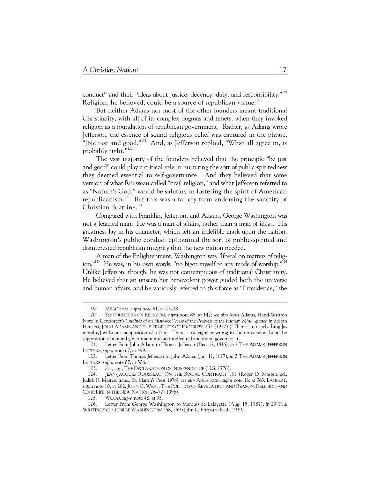conduct" and their "ideas about justice, decency, duty, and responsibility."<sup>119</sup> Religion, he believed, could be a source of republican virtue.<sup>120</sup>

But neither Adams nor most of the other founders meant traditional Christianity, with all of its complex dogmas and tenets, when they invoked religion as a foundation of republican government. Rather, as Adams wrote Jefferson, the essence of sound religious belief was captured in the phrase, "[b]e just and good."<sup>121</sup> And, as Jefferson replied, "What all agree in, is probably right."<sup>122</sup>

The vast majority of the founders believed that the principle "be just and good" could play a critical role in nurturing the sort of public-spiritedness they deemed essential to self-governance. And they believed that some version of what Rousseau called "civil religion," and what Jefferson referred to as "Nature's God," would be salutary in fostering the spirit of American republicanism.<sup>123</sup> But this was a far cry from endorsing the sanctity of Christian doctrine.<sup>124</sup>

Compared with Franklin, Jefferson, and Adams, George Washington was not a learned man. He was a man of affairs, rather than a man of ideas. His greatness lay in his character, which left an indelible mark upon the nation. Washington's public conduct epitomized the sort of public-spirited and disinterested republican integrity that the new nation needed.

A man of the Enlightenment, Washington was "liberal on matters of religion."<sup>125</sup> He was, in his own words, "no bigot myself to any mode of worship."<sup>126</sup> Unlike Jefferson, though, he was not contemptuous of traditional Christianity. He believed that an unseen but benevolent power guided both the universe and human affairs, and he variously referred to this force as "Providence," the

 <sup>119.</sup> MEACHAM, *supra* note 61, at 27–28.

 <sup>120.</sup> *See* FOUNDERS ON RELIGION, *supra* note 88, at 147; *see also* John Adams, Hand-Written Note in Condorcet's *Outlines of an Historical View of the Progress of the Human Mind*, *quoted in* Zoltan Haraszti, JOHN ADAMS AND THE PROPHETS OF PROGRESS 252 (1952) ("There is no such thing [as morality] without a supposition of a God. There is no right or wrong in the universe without the supposition of a moral government and an intellectual and moral governor.").

 <sup>121.</sup> Letter From John Adams to Thomas Jefferson (Dec. 12, 1816), *in* 2 THE ADAMS-JEFFERSON LETTERS, *supra* note 67, at 499.

 <sup>122.</sup> Letter From Thomas Jefferson to John Adams (Jan. 11, 1817), *in* 2 THE ADAMS-JEFFERSON LETTERS, *supra* note 67, at 506.

 <sup>123.</sup> *See, e.g.*, THE DECLARATION OF INDEPENDENCE (U.S. 1776).

 <sup>124.</sup> JEAN-JACQUES ROUSSEAU, ON THE SOCIAL CONTRACT 131 (Roger D. Masters ed., Judith R. Masters trans., St. Martin's Press 1978); *see also* AHLSTROM, *supra* note 16, at 363; LAMBERT, *supra* note 10, at 282; JOHN G. WEST, THE POLITICS OF REVELATION AND REASON: RELIGION AND CIVIC LIFE IN THE NEW NATION 76–77 (1996).

 <sup>125.</sup> WOOD, *supra* note 48, at 35.

 <sup>126.</sup> Letter From George Washington to Marquis de Lafayette (Aug. 15, 1787), *in* 29 THE WRITINGS OF GEORGE WASHINGTON 258, 259 (John C. Fitzpatrick ed., 1939).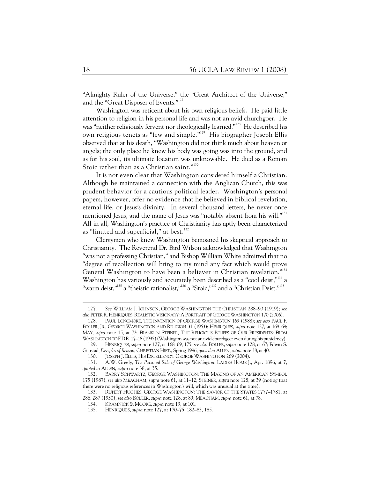"Almighty Ruler of the Universe," the "Great Architect of the Universe," and the "Great Disposer of Events."127

Washington was reticent about his own religious beliefs. He paid little attention to religion in his personal life and was not an avid churchgoer. He was "neither religiously fervent nor theologically learned."128 He described his own religious tenets as "few and simple."129 His biographer Joseph Ellis observed that at his death, "Washington did not think much about heaven or angels; the only place he knew his body was going was into the ground, and as for his soul, its ultimate location was unknowable. He died as a Roman Stoic rather than as a Christian saint."<sup>130</sup>

It is not even clear that Washington considered himself a Christian. Although he maintained a connection with the Anglican Church, this was prudent behavior for a cautious political leader. Washington's personal papers, however, offer no evidence that he believed in biblical revelation, eternal life, or Jesus's divinity. In several thousand letters, he never once mentioned Jesus, and the name of Jesus was "notably absent from his will."<sup>131</sup> All in all, Washington's practice of Christianity has aptly been characterized as "limited and superficial," at best. $132$ 

Clergymen who knew Washington bemoaned his skeptical approach to Christianity. The Reverend Dr. Bird Wilson acknowledged that Washington "was not a professing Christian," and Bishop William White admitted that no "degree of recollection will bring to my mind any fact which would prove General Washington to have been a believer in Christian revelation."<sup>133</sup> Washington has variously and accurately been described as a "cool deist,"<sup>134</sup> a "warm deist,"<sup>135</sup> a "theistic rationalist,"<sup>136</sup> a "Stoic,"<sup>137</sup> and a "Christian Deist."<sup>138</sup>

 <sup>127.</sup> *See* WILLIAM J. JOHNSON, GEORGE WASHINGTON THE CHRISTIAN 288–90 (1919); *see*  also PETER R. HENRIQUES, REALISTIC VISIONARY: A PORTRAIT OF GEORGE WASHINGTON 170 (2006).

 <sup>128.</sup> PAUL LONGMORE, THE INVENTION OF GEORGE WASHINGTON 169 (1988); *see also* PAUL F. BOLLER, JR., GEORGE WASHINGTON AND RELIGION 31 (1963); HENRIQUES, *supra* note 127, at 168–69; MAY, *supra* note 15, at 72; FRANKLIN STEINER, THE RELIGIOUS BELIEFS OF OUR PRESIDENTS: FROM WASHINGTON TO F.D.R. 17–18 (1995) (Washington was not an avid churchgoer even during his presidency).

 <sup>129.</sup> HENRIQUES, *supra* note 127, at 168–69, 175; *see also* BOLLER, *supra* note 128, at 67; Edwin S. Gaustad, *Disciples of Reason*, CHRISTIAN HIST., Spring 1996, *quoted in* ALLEN, *supra* note 38, at 40.

 <sup>130.</sup> JOSEPH J. ELLIS, HIS EXCELLENCY: GEORGE WASHINGTON 269 (2004).

 <sup>131.</sup> A.W. Greely, *The Personal Side of George Washington*, LADIES HOME J., Apr. 1896, at 7, *quoted in* ALLEN, *supra* note 38, at 35.

 <sup>132.</sup> BARRY SCHWARTZ, GEORGE WASHINGTON: THE MAKING OF AN AMERICAN SYMBOL 175 (1987); *see also* MEACHAM, *supra* note 61, at 11–12; STEINER, *supra* note 128, at 39 (noting that there were no religious references in Washington's will, which was unusual at the time).

 <sup>133.</sup> RUPERT HUGHES, GEORGE WASHINGTON: THE SAVIOR OF THE STATES 1777–1781, at 286, 287 (1930); *see also* BOLLER, *supra* note 128, at 89; MEACHAM, *supra* note 61, at 78.

 <sup>134.</sup> KRAMNICK & MOORE, *supra* note 13, at 101.

 <sup>135.</sup> HENRIQUES, *supra* note 127, at 170–75, 182–83, 185.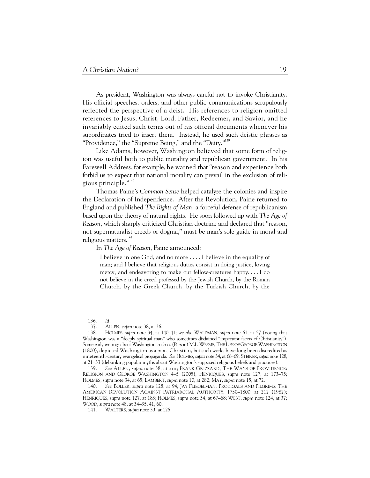As president, Washington was always careful not to invoke Christianity. His official speeches, orders, and other public communications scrupulously reflected the perspective of a deist. His references to religion omitted references to Jesus, Christ, Lord, Father, Redeemer, and Savior, and he invariably edited such terms out of his official documents whenever his subordinates tried to insert them. Instead, he used such deistic phrases as "Providence," the "Supreme Being," and the "Deity."<sup>139</sup>

Like Adams, however, Washington believed that some form of religion was useful both to public morality and republican government. In his Farewell Address, for example, he warned that "reason and experience both forbid us to expect that national morality can prevail in the exclusion of religious principle."<sup>140</sup>

Thomas Paine's *Common Sense* helped catalyze the colonies and inspire the Declaration of Independence. After the Revolution, Paine returned to England and published *The Rights of Man*, a forceful defense of republicanism based upon the theory of natural rights. He soon followed up with *The Age of Reason*, which sharply criticized Christian doctrine and declared that "reason, not supernaturalist creeds or dogma," must be man's sole guide in moral and religious matters.<sup>141</sup>

In *The Age of Reason*, Paine announced:

I believe in one God, and no more . . . . I believe in the equality of man; and I believe that religious duties consist in doing justice, loving mercy, and endeavoring to make our fellow-creatures happy. . . . I do not believe in the creed professed by the Jewish Church, by the Roman Church, by the Greek Church, by the Turkish Church, by the

 <sup>136.</sup> *Id.*

 <sup>137.</sup> ALLEN, *supra* note 38, at 36.

 <sup>138.</sup> HOLMES, *supra* note 34, at 140–41; *see also* WALDMAN, *supra* note 61, at 57 (noting that Washington was a "deeply spiritual man" who sometimes disdained "important facets of Christianity"). Some early writings about Washington, such as (Parson) M.L.WEEMS, THE LIFE OF GEORGE WASHINGTON (1800), depicted Washington as a pious Christian, but such works have long been discredited as nineteenth-century evangelical propaganda. *See* HOLMES, *supra* note 34, at 68–69; STEINER, *supra* note 128, at 21–33 (debunking popular myths about Washington's supposed religious beliefs and practices).

 <sup>139.</sup> *See* ALLEN, *supra* note 38, at xiii; FRANK GRIZZARD, THE WAYS OF PROVIDENCE: RELIGION AND GEORGE WASHINGTON 4–5 (2005); HENRIQUES, *supra* note 127, at 173–75; HOLMES, *supra* note 34, at 65; LAMBERT, *supra* note 10, at 282; MAY, *supra* note 15, at 72.

 <sup>140.</sup> *See* BOLLER, *supra* note 128, at 94; JAY FLIEGELMAN, PRODIGALS AND PILGRIMS: THE AMERICAN REVOLUTION AGAINST PATRIARCHAL AUTHORITY, 1750–1800, at 212 (1982); HENRIQUES, *supra* note 127, at 183; HOLMES, *supra* note 34, at 67–68; WEST, *supra* note 124, at 37; WOOD, *supra* note 48, at 34–35, 41, 60.

 <sup>141.</sup> WALTERS, *supra* note 33, at 125.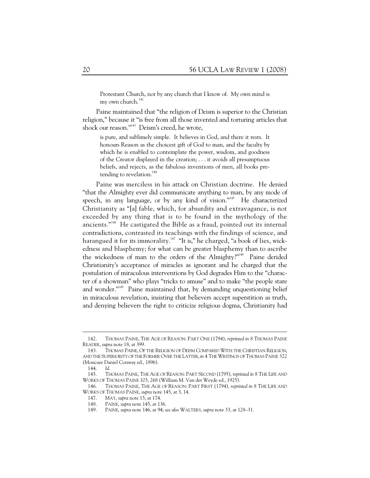Protestant Church, nor by any church that I know of. My own mind is my own church.<sup>142</sup>

Paine maintained that "the religion of Deism is superior to the Christian religion," because it "is free from all those invented and torturing articles that shock our reason."<sup>143</sup> Deism's creed, he wrote,

is pure, and sublimely simple. It believes in God, and there it rests. It honours Reason as the choicest gift of God to man, and the faculty by which he is enabled to contemplate the power, wisdom, and goodness of the Creator displayed in the creation; . . . it avoids all presumptuous beliefs, and rejects, as the fabulous inventions of men, all books pretending to revelation.<sup>144</sup>

Paine was merciless in his attack on Christian doctrine. He denied "that the Almighty ever did communicate anything to man, by any mode of speech, in any language, or by any kind of vision."<sup>145</sup> He characterized Christianity as "[a] fable, which, for absurdity and extravagance, is not exceeded by any thing that is to be found in the mythology of the ancients."146 He castigated the Bible as a fraud, pointed out its internal contradictions, contrasted its teachings with the findings of science, and harangued it for its immorality.<sup>147</sup> "It is," he charged, "a book of lies, wickedness and blasphemy; for what can be greater blasphemy than to ascribe the wickedness of man to the orders of the Almighty?"<sup>148</sup> Paine derided Christianity's acceptance of miracles as ignorant and he charged that the postulation of miraculous interventions by God degrades Him to the "character of a showman" who plays "tricks to amuse" and to make "the people stare and wonder."<sup>149</sup> Paine maintained that, by demanding unquestioning belief in miraculous revelation, insisting that believers accept superstition as truth, and denying believers the right to criticize religious dogma, Christianity had

 $\overline{a}$ 

 <sup>142.</sup> THOMAS PAINE, THE AGE OF REASON: PART ONE (1794), *reprinted in* 8 THOMAS PAINE READER, *supra* note 18, at 399.

 <sup>143.</sup> THOMAS PAINE, OF THE RELIGION OF DEISM COMPARED WITH THE CHRISTIAN RELIGION, AND THE SUPERIORITY OF THE FORMER OVER THE LATTER, *in* 4 THE WRITINGS OF THOMAS PAINE 322 (Moncure Daniel Conway ed., 1896).

 <sup>144.</sup> *Id*.

 <sup>145.</sup> THOMAS PAINE, THE AGE OF REASON: PART SECOND (1795), *reprinted in* 8 THE LIFE AND WORKS OF THOMAS PAINE 103, 268 (William M. Van der Weyde ed., 1925).

 <sup>146.</sup> THOMAS PAINE, THE AGE OF REASON: PART FIRST (1794), *reprinted in* 8 THE LIFE AND WORKS OF THOMAS PAINE, *supra* note 145, at 3, 14.

 <sup>147.</sup> MAY, *supra* note 15, at 174.

 <sup>148.</sup> PAINE, *supra* note 145, at 136.

 <sup>149.</sup> PAINE, *supra* note 146, at 94; *see also* WALTERS, *supra* note 33, at 128–31.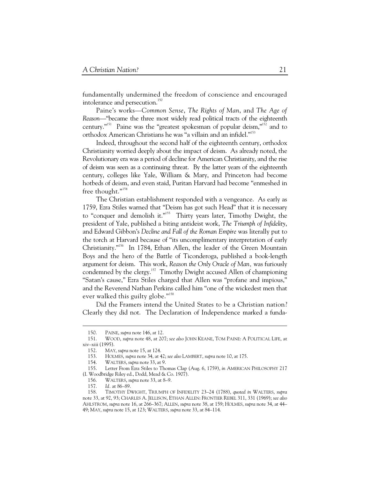fundamentally undermined the freedom of conscience and encouraged intolerance and persecution.<sup>150</sup>

Paine's works—*Common Sense*, *The Rights of Man*, and *The Age of Reason*—"became the three most widely read political tracts of the eighteenth century."151 Paine was the "greatest spokesman of popular deism,"152 and to orthodox American Christians he was "a villain and an infidel."153

Indeed, throughout the second half of the eighteenth century, orthodox Christianity worried deeply about the impact of deism. As already noted, the Revolutionary era was a period of decline for American Christianity, and the rise of deism was seen as a continuing threat. By the latter years of the eighteenth century, colleges like Yale, William & Mary, and Princeton had become hotbeds of deism, and even staid, Puritan Harvard had become "enmeshed in free thought."<sup>154</sup>

The Christian establishment responded with a vengeance. As early as 1759, Ezra Stiles warned that "Deism has got such Head" that it is necessary to "conquer and demolish it."<sup>155</sup> Thirty years later, Timothy Dwight, the president of Yale, published a biting antideist work, *The Triumph of Infidelity*, and Edward Gibbon's *Decline and Fall of the Roman Empire* was literally put to the torch at Harvard because of "its uncomplimentary interpretation of early Christianity."<sup>156</sup> In 1784, Ethan Allen, the leader of the Green Mountain Boys and the hero of the Battle of Ticonderoga, published a book-length argument for deism. This work, *Reason the Only Oracle of Man,* was furiously condemned by the clergy.<sup>157</sup> Timothy Dwight accused Allen of championing "Satan's cause," Ezra Stiles charged that Allen was "profane and impious," and the Reverend Nathan Perkins called him "one of the wickedest men that ever walked this guilty globe."<sup>158</sup>

Did the Framers intend the United States to be a Christian nation? Clearly they did not. The Declaration of Independence marked a funda-

 <sup>150.</sup> PAINE, *supra* note 146, at 12.

 <sup>151.</sup> WOOD, *supra* note 48, at 207; *see also* JOHN KEANE, TOM PAINE: A POLITICAL LIFE, at xiv–xiii (1995).

 <sup>152.</sup> MAY, *supra* note 15, at 124.

 <sup>153.</sup> HOLMES, *supra* note 34, at 42; *see also* LAMBERT, *supra* note 10, at 175.

 <sup>154.</sup> WALTERS, *supra* note 33, at 9.

 <sup>155.</sup> Letter From Ezra Stiles to Thomas Clap (Aug. 6, 1759), *in* AMERICAN PHILOSOPHY 217 (I. Woodbridge Riley ed., Dodd, Mead & Co. 1907).

 <sup>156.</sup> WALTERS, *supra* note 33, at 8–9.

 <sup>157.</sup> *Id.* at 86–89.

 <sup>158.</sup> TIMOTHY DWIGHT, TRIUMPH OF INFIDELITY 23–24 (1788), *quoted in* WALTERS, *supra* note 33, at 92, 93; CHARLES A. JELLISON, ETHAN ALLEN: FRONTIER REBEL 311, 331 (1969); *see also* AHLSTROM, *supra* note 16, at 266–367; ALLEN, *supra* note 38, at 159; HOLMES, *supra* note 34, at 44– 49; MAY, *supra* note 15, at 123; WALTERS, *supra* note 33, at 84–114.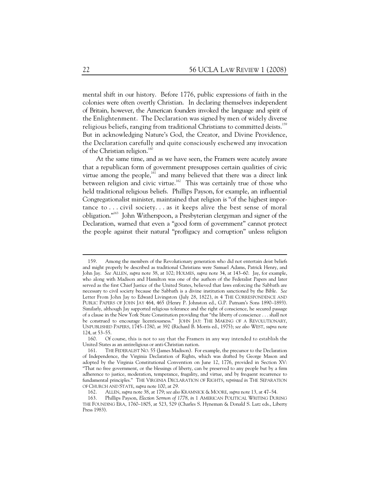mental shift in our history. Before 1776, public expressions of faith in the colonies were often overtly Christian. In declaring themselves independent of Britain, however, the American founders invoked the language and spirit of the Enlightenment. The Declaration was signed by men of widely diverse religious beliefs, ranging from traditional Christians to committed deists.<sup>159</sup> But in acknowledging Nature's God, the Creator, and Divine Providence, the Declaration carefully and quite consciously eschewed any invocation of the Christian religion.<sup>160</sup>

At the same time, and as we have seen, the Framers were acutely aware that a republican form of government presupposes certain qualities of civic virtue among the people,<sup>161</sup> and many believed that there was a direct link between religion and civic virtue.<sup>162</sup> This was certainly true of those who held traditional religious beliefs. Phillips Payson, for example, an influential Congregationalist minister, maintained that religion is "of the highest importance to  $\ldots$  civil society.  $\ldots$  as it keeps alive the best sense of moral obligation."163 John Witherspoon, a Presbyterian clergyman and signer of the Declaration, warned that even a "good form of government" cannot protect the people against their natural "profligacy and corruption" unless religion

 <sup>159.</sup> Among the members of the Revolutionary generation who did not entertain deist beliefs and might properly be described as traditional Christians were Samuel Adams, Patrick Henry, and John Jay. *See* ALLEN, *supra* note 38, at 102; HOLMES, *supra* note 34, at 143–60. Jay, for example, who along with Madison and Hamilton was one of the authors of the Federalist Papers and later served as the first Chief Justice of the United States, believed that laws enforcing the Sabbath are necessary to civil society because the Sabbath is a divine institution sanctioned by the Bible. *See* Letter From John Jay to Edward Livingston (July 28, 1822), *in* 4 THE CORRESPONDENCE AND PUBLIC PAPERS OF JOHN JAY 464, 465 (Henry P. Johnston ed., G.P. Putnam's Sons 1890–1893). Similarly, although Jay supported religious tolerance and the right of conscience, he secured passage of a clause in the New York State Constitution providing that "the liberty of conscience . . . shall not be construed to encourage licentiousness." JOHN JAY: THE MAKING OF A REVOLUTIONARY, UNPUBLISHED PAPERS, 1745–1780, at 392 (Richard B. Morris ed., 1975); *see also* WEST, *supra* note 124, at 53–55.

 <sup>160.</sup> Of course, this is not to say that the Framers in any way intended to establish the United States as an antireligious or anti-Christian nation.

 <sup>161.</sup> THE FEDERALIST NO. 55 (James Madison). For example, the precursor to the Declaration of Independence, the Virginia Declaration of Rights, which was drafted by George Mason and adopted by the Virginia Constitutional Convention on June 12, 1776, provided in Section XV: "That no free government, or the blessings of liberty, can be preserved to any people but by a firm adherence to justice, moderation, temperance, frugality, and virtue, and by frequent recurrence to fundamental principles." THE VIRGINIA DECLARATION OF RIGHTS, *reprinted in* THE SEPARATION OF CHURCH AND STATE, *supra* note 100, at 29.

 <sup>162.</sup> ALLEN, *supra* note 38, at 179; *see also* KRAMNICK & MOORE, *supra* note 13, at 47–54.

 <sup>163.</sup> Phillips Payson, *Election Sermon of 1778*, *in* 1 AMERICAN POLITICAL WRITING DURING THE FOUNDING ERA, 1760–1805, at 523, 529 (Charles S. Hyneman & Donald S. Lutz eds., Liberty Press 1983).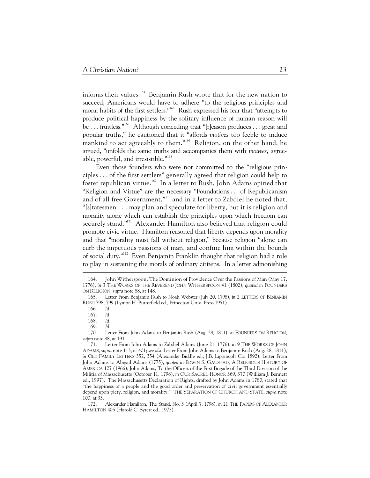informs their values.<sup>164</sup> Benjamin Rush wrote that for the new nation to succeed, Americans would have to adhere "to the religious principles and moral habits of the first settlers."<sup>165</sup> Rush expressed his fear that "attempts to produce political happiness by the solitary influence of human reason will be . . . fruitless."<sup>166</sup> Although conceding that "[r]eason produces . . . great and popular truths," he cautioned that it "affords *motives* too feeble to induce mankind to act agreeably to them."<sup>167</sup> Religion, on the other hand, he argued, "unfolds the same truths and accompanies them with *motives*, agreeable, powerful, and irresistible."168

Even those founders who were not committed to the "religious principles . . . of the first settlers" generally agreed that religion could help to foster republican virtue.169 In a letter to Rush, John Adams opined that "Religion and Virtue" are the necessary "Foundations . . . of Republicanism and of all free Government,"<sup>170</sup> and in a letter to Zabdiel he noted that, "[s]tatesmen . . . may plan and speculate for liberty, but it is religion and morality alone which can establish the principles upon which freedom can securely stand."<sup>171</sup> Alexander Hamilton also believed that religion could promote civic virtue. Hamilton reasoned that liberty depends upon morality and that "morality must fall without religion," because religion "alone can curb the impetuous passions of man, and confine him within the bounds of social duty."172 Even Benjamin Franklin thought that religion had a role to play in sustaining the morals of ordinary citizens. In a letter admonishing

 <sup>164.</sup> John Witherspoon, The Dominion of Providence Over the Passions of Man (May 17, 1776), *in* 3 THE WORKS OF THE REVEREND JOHN WITHERSPOON 41 (1802), *quoted in* FOUNDERS ON RELIGION, *supra* note 88, at 148.

 <sup>165.</sup> Letter From Benjamin Rush to Noah Webster (July 20, 1798), *in* 2 LETTERS OF BENJAMIN RUSH 798, 799 (Lymna H. Butterfield ed., Princeton Univ. Press 1951).

 <sup>166.</sup> *Id.* 

 <sup>167.</sup> *Id.*

 <sup>168.</sup> *Id*.

 <sup>169.</sup> *Id*.

 <sup>170.</sup> Letter From John Adams to Benjamin Rush (Aug. 28, 1811), *in* FOUNDERS ON RELIGION, *supra* note 88, at 191.

 <sup>171.</sup> Letter From John Adams to Zabdiel Adams (June 21, 1776), *in* 9 THE WORKS OF JOHN ADAMS, *supra* note 113, at 401; *see also* Letter From John Adams to Benjamin Rush (Aug. 28, 1811), *in* OLD FAMILY LETTERS 352, 354 (Alexander Biddle ed., J.B. Lippincolt Co. 1892); Letter From John Adams to Abigail Adams (1775), *quoted in* EDWIN S. GAUSTAD, A RELIGIOUS HISTORY OF AMERICA 127 (1966); John Adams, To the Officers of the First Brigade of the Third Division of the Militia of Massachusetts (October 11, 1798), *in* OUR SACRED HONOR 369, 370 (William J. Bennett ed., 1997). The Massachusetts Declaration of Rights, drafted by John Adams in 1780, stated that "the happiness of a people and the good order and preservation of civil government essentially depend upon piety, religion, and morality." THE SEPARATION OF CHURCH AND STATE, *supra* note 100, at 33.

 <sup>172.</sup> Alexander Hamilton, The Stand, No. 3 (April 7, 1798), *in* 21 THE PAPERS OF ALEXANDER HAMILTON 405 (Harold C. Syrett ed., 1973).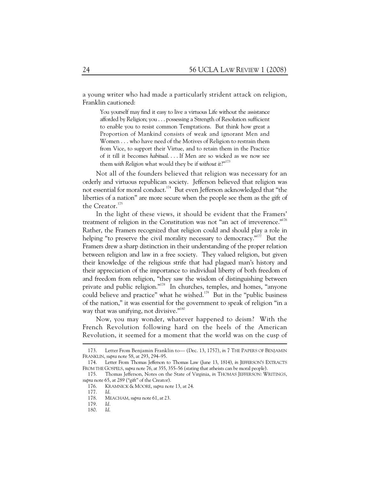a young writer who had made a particularly strident attack on religion, Franklin cautioned:

You yourself may find it easy to live a virtuous Life without the assistance afforded by Religion; you . . . possessing a Strength of Resolution sufficient to enable you to resist common Temptations. But think how great a Proportion of Mankind consists of weak and ignorant Men and Women . . . who have need of the Motives of Religion to restrain them from Vice, to support their Virtue, and to retain them in the Practice of it till it becomes *habitual*. . . . If Men are so wicked as we now see them with Religion what would they be if without it?"<sup>173</sup>

Not all of the founders believed that religion was necessary for an orderly and virtuous republican society. Jefferson believed that religion was not essential for moral conduct.<sup>174</sup> But even Jefferson acknowledged that "the liberties of a nation" are more secure when the people see them as the gift of the Creator.<sup>175</sup>

In the light of these views, it should be evident that the Framers' treatment of religion in the Constitution was not "an act of irreverence."<sup>176</sup> Rather, the Framers recognized that religion could and should play a role in helping "to preserve the civil morality necessary to democracy."<sup>177</sup> But the Framers drew a sharp distinction in their understanding of the proper relation between religion and law in a free society. They valued religion, but given their knowledge of the religious strife that had plagued man's history and their appreciation of the importance to individual liberty of both freedom of and freedom from religion, "they saw the wisdom of distinguishing between private and public religion."<sup>178</sup> In churches, temples, and homes, "anyone could believe and practice" what he wished.<sup>179</sup> But in the "public business of the nation," it was essential for the government to speak of religion "in a way that was unifying, not divisive."<sup>180</sup>

Now, you may wonder, whatever happened to deism? With the French Revolution following hard on the heels of the American Revolution, it seemed for a moment that the world was on the cusp of

 <sup>173.</sup> Letter From Benjamin Franklin to— (Dec. 13, 1757), *in* 7 THE PAPERS OF BENJAMIN FRANKLIN, *supra* note 58, at 293, 294–95.

 <sup>174.</sup> Letter From Thomas Jefferson to Thomas Law (June 13, 1814), *in* JEFFERSON'S EXTRACTS FROM THE GOSPELS, *supra* note 76, at 355, 355–56 (stating that atheists can be moral people).

 <sup>175.</sup> Thomas Jefferson, Notes on the State of Virginia, *in* THOMAS JEFFERSON: WRITINGS, *supra* note 65, at 289 ("gift" of the Creator).

 <sup>176.</sup> KRAMNICK & MOORE, *supra* note 13, at 24.

 <sup>177.</sup> *Id*.

 <sup>178.</sup> MEACHAM, *supra* note 61, at 23.

 <sup>179.</sup> *Id.*

 <sup>180.</sup> *Id*.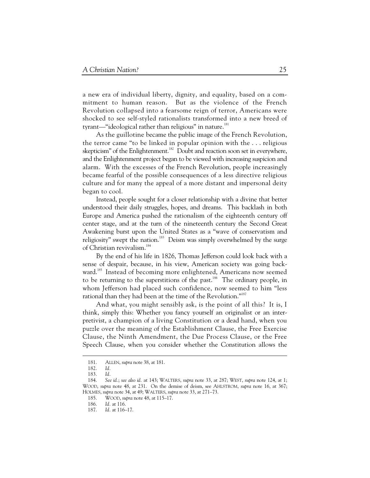a new era of individual liberty, dignity, and equality, based on a commitment to human reason. But as the violence of the French Revolution collapsed into a fearsome reign of terror, Americans were shocked to see self-styled rationalists transformed into a new breed of tyrant—"ideological rather than religious" in nature.<sup>181</sup>

As the guillotine became the public image of the French Revolution, the terror came "to be linked in popular opinion with the . . . religious skepticism" of the Enlightenment.<sup>182</sup> Doubt and reaction soon set in everywhere, and the Enlightenment project began to be viewed with increasing suspicion and alarm. With the excesses of the French Revolution, people increasingly became fearful of the possible consequences of a less directive religious culture and for many the appeal of a more distant and impersonal deity began to cool.

Instead, people sought for a closer relationship with a divine that better understood their daily struggles, hopes, and dreams. This backlash in both Europe and America pushed the rationalism of the eighteenth century off center stage, and at the turn of the nineteenth century the Second Great Awakening burst upon the United States as a "wave of conservatism and religiosity" swept the nation.<sup>183</sup> Deism was simply overwhelmed by the surge of Christian revivalism.<sup>184</sup>

By the end of his life in 1826, Thomas Jefferson could look back with a sense of despair, because, in his view, American society was going backward.<sup>185</sup> Instead of becoming more enlightened, Americans now seemed to be returning to the superstitions of the past.<sup>186</sup> The ordinary people, in whom Jefferson had placed such confidence, now seemed to him "less rational than they had been at the time of the Revolution."<sup>187</sup>

And what, you might sensibly ask, is the point of all this? It is, I think, simply this: Whether you fancy yourself an originalist or an interpretivist, a champion of a living Constitution or a dead hand, when you puzzle over the meaning of the Establishment Clause, the Free Exercise Clause, the Ninth Amendment, the Due Process Clause, or the Free Speech Clause, when you consider whether the Constitution allows the

 <sup>181.</sup> ALLEN, *supra* note 38, at 181.

 <sup>182.</sup> *Id.*

 <sup>183.</sup> *Id.*

 <sup>184.</sup> *See id.*; *see also id.* at 143; WALTERS, *supra* note 33, at 287; WEST, *supra* note 124, at 1; WOOD, *supra* note 48, at 231. On the demise of deism, see AHLSTROM, *supra* note 16, at 367; HOLMES, *supra* note 34, at 49; WALTERS, *supra* note 33, at 271–73.

 <sup>185.</sup> WOOD, *supra* note 48, at 115–17.

 <sup>186.</sup> *Id.* at 116.

 <sup>187.</sup> *Id.* at 116–17.